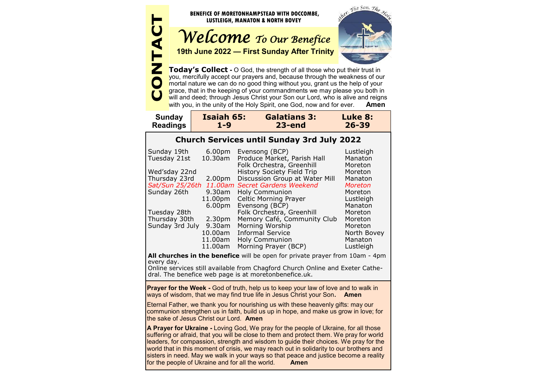

**Today's Collect -** O God, the strength of all those who put their trust in you, mercifully accept our prayers and, because through the weakness of our mortal nature we can do no good thing without you, grant us the help of your grace, that in the keeping of your commandments we may please you both in will and deed; through Jesus Christ your Son our Lord, who is alive and reigns with you, in the unity of the Holy Spirit, one God, now and for ever. **Amen**

| <b>Sunday</b>   | Isaiah 65: | <b>Galatians 3:</b> | Luke 8:   |
|-----------------|------------|---------------------|-----------|
| <b>Readings</b> | 1-9        | $23$ -end           | $26 - 39$ |

# **Church Services until Sunday 3rd July 2022**

| Sunday 19th     | 6.00 <sub>pm</sub> | Evensong (BCP)                 | Lustleigh   |
|-----------------|--------------------|--------------------------------|-------------|
| Tuesday 21st    | 10.30am            | Produce Market, Parish Hall    | Manaton     |
|                 |                    | Folk Orchestra, Greenhill      | Moreton     |
| Wed'sday 22nd   |                    | History Society Field Trip     | Moreton     |
| Thursday 23rd   | 2.00 <sub>pm</sub> | Discussion Group at Water Mill | Manaton     |
| Sat/Sun 25/26th |                    | 11.00am Secret Gardens Weekend | Moreton     |
| Sunday 26th     | 9.30am             | <b>Holy Communion</b>          | Moreton     |
|                 | 11.00pm            | <b>Celtic Morning Prayer</b>   | Lustleigh   |
|                 | 6.00 <sub>pm</sub> | Evensong (BCP)                 | Manaton     |
| Tuesday 28th    |                    | Folk Orchestra, Greenhill      | Moreton     |
| Thursday 30th   | 2.30 <sub>pm</sub> | Memory Café, Community Club    | Moreton     |
| Sunday 3rd July | 9.30am             | Morning Worship                | Moreton     |
|                 | 10.00am            | <b>Informal Service</b>        | North Bovey |
|                 | 11.00am            | <b>Holy Communion</b>          | Manaton     |
|                 | 11.00am            | Morning Prayer (BCP)           | Lustleigh   |
|                 |                    |                                |             |

**All churches in the benefice** will be open for private prayer from 10am - 4pm every day.

Online services still available from Chagford Church Online and Exeter Cathedral. The benefice web page is at moretonbenefice.uk.

**Prayer for the Week -** God of truth, help us to keep your law of love and to walk in ways of wisdom, that we may find true life in Jesus Christ your Son**. Amen**

Eternal Father, we thank you for nourishing us with these heavenly gifts: may our communion strengthen us in faith, build us up in hope, and make us grow in love; for the sake of Jesus Christ our Lord. **Amen**

**A Prayer for Ukraine -** Loving God, We pray for the people of Ukraine, for all those suffering or afraid, that you will be close to them and protect them. We pray for world leaders, for compassion, strength and wisdom to guide their choices. We pray for the world that in this moment of crisis, we may reach out in solidarity to our brothers and sisters in need. May we walk in your ways so that peace and justice become a reality for the people of Ukraine and for all the world. **Amen**